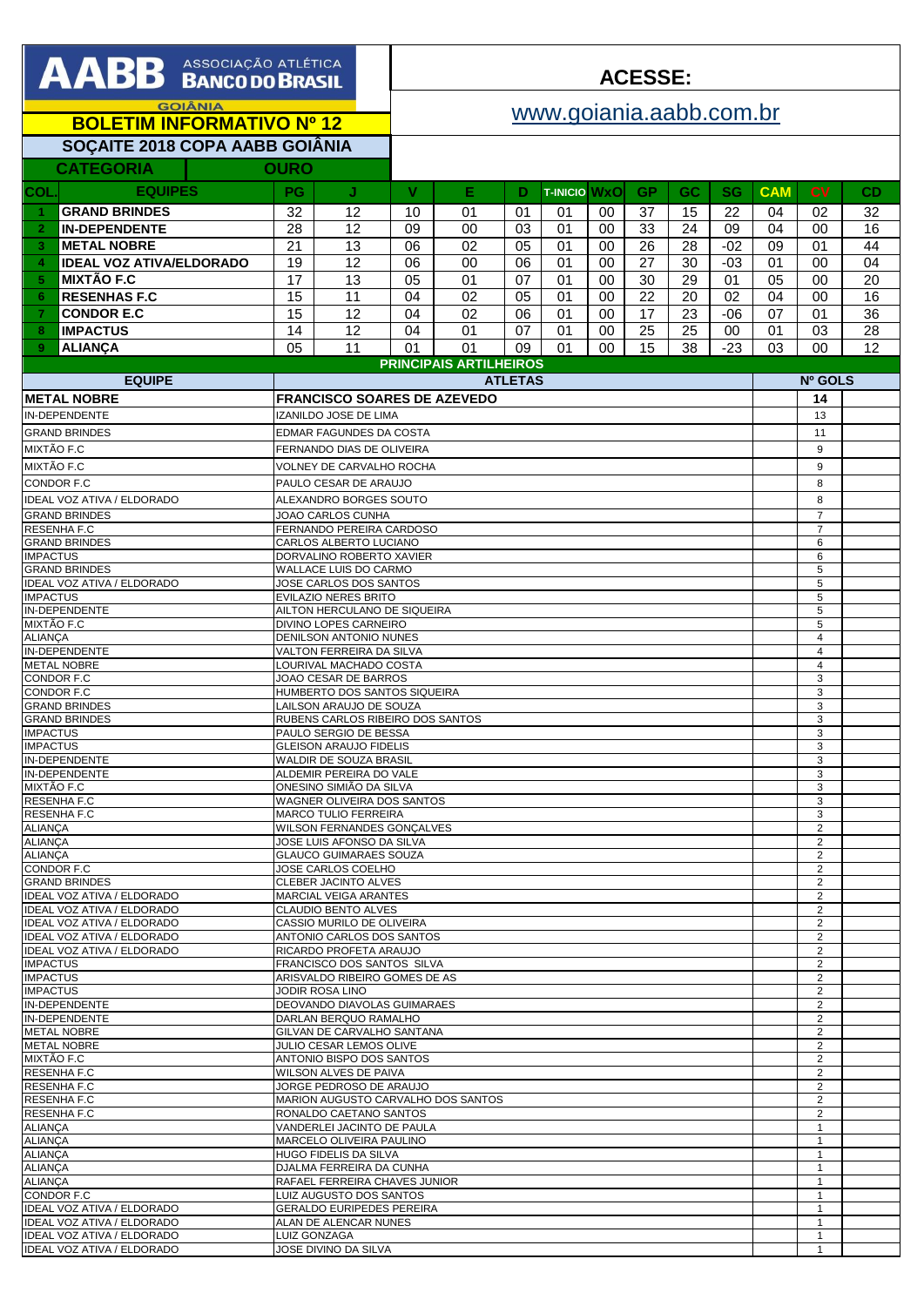| <b>AABB</b> BANCODO BRASIL                                                                            |                                                              |                                                               | <b>ACESSE:</b>                             |                               |                |          |                     |                |                                  |             |            |                                  |          |
|-------------------------------------------------------------------------------------------------------|--------------------------------------------------------------|---------------------------------------------------------------|--------------------------------------------|-------------------------------|----------------|----------|---------------------|----------------|----------------------------------|-------------|------------|----------------------------------|----------|
| <b>GOIÂNIA</b>                                                                                        |                                                              |                                                               | www.goiania.aabb.com.br                    |                               |                |          |                     |                |                                  |             |            |                                  |          |
| <b>BOLETIM INFORMATIVO Nº 12</b>                                                                      |                                                              |                                                               |                                            |                               |                |          |                     |                |                                  |             |            |                                  |          |
| SOÇAITE 2018 COPA AABB GOIÂNIA                                                                        |                                                              |                                                               |                                            |                               |                |          |                     |                |                                  |             |            |                                  |          |
| <b>CATEGORIA</b>                                                                                      | <b>OURO</b>                                                  |                                                               |                                            |                               |                |          |                     |                |                                  |             |            |                                  |          |
| <b>EQUIPES</b><br>COL                                                                                 | <b>PG</b>                                                    | J                                                             | V                                          | Е                             | D              |          | <b>T-INICIO WXO</b> | GP             | $\overline{GC}$                  | <b>SG</b>   | <b>CAM</b> | <b>CV</b>                        | CD.      |
| <b>GRAND BRINDES</b><br>-1.                                                                           | 32                                                           | 12                                                            | 10                                         | 01                            | 01             | 01       | 00                  | 37             | 15                               | 22          | 04         | 02                               | 32       |
| <b>IN-DEPENDENTE</b><br>$\overline{2}$                                                                | 28                                                           | 12                                                            | 09                                         | 00                            | 03             | 01       | 00                  | 33             | 24                               | 09          | 04         | 00                               | 16       |
| <b>METAL NOBRE</b><br>$\mathbf{3}$                                                                    | 21                                                           | 13                                                            | 06                                         | 02                            | 05             | 01       | 00                  | 26             | 28                               | $-02$       | 09         | 01                               | 44       |
| <b>IDEAL VOZ ATIVA/ELDORADO</b><br>$\overline{4}$                                                     | 19                                                           | 12                                                            | 06                                         | 00                            | 06             | 01       | 00                  | 27             | 30                               | $-03$       | 01         | 00                               | 04       |
| <b>MIXTÃO F.C</b><br>5                                                                                | 17                                                           | 13                                                            | 05                                         | 01                            | 07             | 01       | 00                  | 30             | 29                               | 01          | 05<br>04   | 00                               | 20       |
| <b>RESENHAS F.C</b><br>6<br><b>CONDOR E.C</b><br>7                                                    | 15<br>15                                                     | 11<br>12                                                      | 04<br>04                                   | 02<br>02                      | 05<br>06       | 01<br>01 | 00<br>00            | 22<br>17       | 20<br>23                         | 02<br>$-06$ | 07         | 00<br>01                         | 16<br>36 |
| <b>IMPACTUS</b><br>8                                                                                  | 14                                                           | 12                                                            | 04                                         | 01                            | 07             | 01       | 00                  | 25             | 25                               | 00          | 01         | 03                               | 28       |
| 9<br><b>ALIANCA</b>                                                                                   | 05                                                           | 11                                                            | 01                                         | 01                            | 09             | 01       | 00                  | 15             | 38                               | $-23$       | 03         | 00                               | 12       |
|                                                                                                       |                                                              |                                                               |                                            | <b>PRINCIPAIS ARTILHEIROS</b> |                |          |                     |                |                                  |             |            |                                  |          |
| <b>EQUIPE</b>                                                                                         |                                                              |                                                               |                                            |                               | <b>ATLETAS</b> |          |                     |                |                                  |             | Nº GOLS    |                                  |          |
| <b>METAL NOBRE</b>                                                                                    |                                                              | <b>FRANCISCO SOARES DE AZEVEDO</b>                            |                                            |                               |                |          |                     |                |                                  |             |            | 14                               |          |
| IN-DEPENDENTE<br><b>GRAND BRINDES</b>                                                                 |                                                              | IZANILDO JOSE DE LIMA<br>EDMAR FAGUNDES DA COSTA              |                                            |                               |                |          |                     |                |                                  |             |            | 13<br>11                         |          |
| MIXTÃO F.C                                                                                            |                                                              | FERNANDO DIAS DE OLIVEIRA                                     |                                            |                               |                |          |                     |                |                                  |             |            | 9                                |          |
| MIXTÃO F.C                                                                                            |                                                              | VOLNEY DE CARVALHO ROCHA                                      |                                            |                               |                |          |                     |                |                                  |             |            | 9                                |          |
| CONDOR F.C                                                                                            |                                                              | PAULO CESAR DE ARAUJO                                         |                                            |                               |                |          |                     |                |                                  |             |            | 8                                |          |
| <b>IDEAL VOZ ATIVA / ELDORADO</b>                                                                     |                                                              | ALEXANDRO BORGES SOUTO                                        |                                            |                               |                |          |                     |                |                                  |             |            | 8                                |          |
| <b>GRAND BRINDES</b><br>JOAO CARLOS CUNHA                                                             |                                                              |                                                               |                                            |                               |                |          |                     |                |                                  |             |            | $\overline{7}$<br>$\overline{7}$ |          |
| RESENHA F.C<br>FERNANDO PEREIRA CARDOSO<br>CARLOS ALBERTO LUCIANO<br><b>GRAND BRINDES</b>             |                                                              |                                                               |                                            |                               |                |          |                     |                |                                  |             |            | 6                                |          |
| <b>IMPACTUS</b><br>DORVALINO ROBERTO XAVIER                                                           |                                                              |                                                               |                                            |                               |                |          |                     |                |                                  | 6           |            |                                  |          |
| <b>GRAND BRINDES</b><br>WALLACE LUIS DO CARMO<br>JOSE CARLOS DOS SANTOS<br>IDEAL VOZ ATIVA / ELDORADO |                                                              |                                                               |                                            |                               |                |          |                     |                |                                  |             |            | 5<br>5                           |          |
| <b>IMPACTUS</b>                                                                                       | <b>EVILAZIO NERES BRITO</b>                                  |                                                               |                                            |                               |                |          |                     | 5              |                                  |             |            |                                  |          |
| IN-DEPENDENTE<br>MIXTÃO F.C                                                                           | AILTON HERCULANO DE SIQUEIRA<br>DIVINO LOPES CARNEIRO        |                                                               |                                            |                               |                |          |                     | 5<br>5         |                                  |             |            |                                  |          |
| <b>ALIANÇA</b>                                                                                        | DENILSON ANTONIO NUNES                                       |                                                               |                                            |                               |                |          |                     | $\overline{4}$ |                                  |             |            |                                  |          |
| IN-DEPENDENTE<br><b>METAL NOBRE</b>                                                                   | VALTON FERREIRA DA SILVA<br>LOURIVAL MACHADO COSTA           |                                                               |                                            |                               |                |          |                     |                | $\overline{4}$<br>$\overline{4}$ |             |            |                                  |          |
| CONDOR F.C                                                                                            | JOAO CESAR DE BARROS                                         |                                                               |                                            |                               |                |          |                     |                |                                  |             |            | 3                                |          |
| CONDOR F.C<br><b>GRAND BRINDES</b>                                                                    |                                                              |                                                               | HUMBERTO DOS SANTOS SIQUEIRA               |                               |                |          |                     |                |                                  |             | 3<br>3     |                                  |          |
| <b>GRAND BRINDES</b>                                                                                  | LAILSON ARAUJO DE SOUZA<br>RUBENS CARLOS RIBEIRO DOS SANTOS  |                                                               |                                            |                               |                |          |                     | 3              |                                  |             |            |                                  |          |
| <b>IMPACTUS</b><br><b>IMPACTUS</b>                                                                    |                                                              | PAULO SERGIO DE BESSA<br><b>GLEISON ARAUJO FIDELIS</b>        |                                            |                               |                |          |                     |                |                                  |             |            | 3<br>3                           |          |
| IN-DEPENDENTE                                                                                         |                                                              | WALDIR DE SOUZA BRASIL                                        |                                            |                               |                |          |                     |                |                                  |             |            | 3                                |          |
| <b>IN-DEPENDENTE</b><br>MIXTÃO F.C                                                                    |                                                              | ALDEMIR PEREIRA DO VALE                                       |                                            |                               |                |          |                     |                |                                  |             |            | 3<br>3                           |          |
| RESENHA F.C                                                                                           | ONESINO SIMIÃO DA SILVA<br>WAGNER OLIVEIRA DOS SANTOS        |                                                               |                                            |                               |                |          |                     |                | 3                                |             |            |                                  |          |
| RESENHA F.C                                                                                           |                                                              | <b>MARCO TULIO FERREIRA</b>                                   |                                            |                               |                |          |                     |                |                                  |             |            | 3                                |          |
| WILSON FERNANDES GONÇALVES<br><b>ALIANÇA</b><br>JOSE LUIS AFONSO DA SILVA<br><b>ALIANÇA</b>           |                                                              |                                                               |                                            |                               |                |          |                     |                |                                  |             |            | 2<br>2                           |          |
| <b>ALIANCA</b>                                                                                        |                                                              | <b>GLAUCO GUIMARAES SOUZA</b>                                 |                                            |                               |                |          |                     |                |                                  |             | 2          |                                  |          |
| CONDOR F.C<br><b>GRAND BRINDES</b>                                                                    |                                                              |                                                               | JOSE CARLOS COELHO<br>CLEBER JACINTO ALVES |                               |                |          |                     |                |                                  |             |            | 2<br>$\overline{2}$              |          |
| IDEAL VOZ ATIVA / ELDORADO<br><b>MARCIAL VEIGA ARANTES</b>                                            |                                                              |                                                               |                                            |                               |                |          |                     |                |                                  |             | 2          |                                  |          |
| IDEAL VOZ ATIVA / ELDORADO<br>CLAUDIO BENTO ALVES<br>IDEAL VOZ ATIVA / ELDORADO                       |                                                              |                                                               |                                            |                               |                |          |                     |                |                                  |             |            | $\overline{2}$<br>$\overline{2}$ |          |
| IDEAL VOZ ATIVA / ELDORADO                                                                            | CASSIO MURILO DE OLIVEIRA<br>ANTONIO CARLOS DOS SANTOS       |                                                               |                                            |                               |                |          |                     | $\overline{2}$ |                                  |             |            |                                  |          |
| <b>IDEAL VOZ ATIVA / ELDORADO</b><br><b>IMPACTUS</b>                                                  | RICARDO PROFETA ARAUJO                                       |                                                               |                                            |                               |                |          |                     | 2<br>2         |                                  |             |            |                                  |          |
| <b>IMPACTUS</b>                                                                                       | FRANCISCO DOS SANTOS SILVA<br>ARISVALDO RIBEIRO GOMES DE AS  |                                                               |                                            |                               |                |          |                     | 2              |                                  |             |            |                                  |          |
| <b>IMPACTUS</b><br>IN-DEPENDENTE                                                                      | JODIR ROSA LINO                                              |                                                               |                                            |                               |                |          |                     |                | 2<br>2                           |             |            |                                  |          |
| IN-DEPENDENTE                                                                                         | DEOVANDO DIAVOLAS GUIMARAES<br>DARLAN BERQUO RAMALHO         |                                                               |                                            |                               |                |          |                     |                | 2                                |             |            |                                  |          |
| <b>METAL NOBRE</b>                                                                                    |                                                              | GILVAN DE CARVALHO SANTANA                                    |                                            |                               |                |          |                     |                |                                  |             |            | 2                                |          |
| METAL NOBRE<br>MIXTÃO F.C                                                                             |                                                              | <b>JULIO CESAR LEMOS OLIVE</b><br>ANTONIO BISPO DOS SANTOS    |                                            |                               |                |          |                     |                |                                  |             |            | 2<br>$\overline{2}$              |          |
| RESENHA F.C                                                                                           |                                                              | WILSON ALVES DE PAIVA                                         |                                            |                               |                |          |                     |                |                                  |             |            | $\overline{2}$                   |          |
| RESENHA F.C<br>RESENHA F.C                                                                            |                                                              | JORGE PEDROSO DE ARAUJO<br>MARION AUGUSTO CARVALHO DOS SANTOS |                                            |                               |                |          |                     |                |                                  |             |            | $\overline{2}$<br>$\overline{2}$ |          |
| RESENHA F.C                                                                                           |                                                              | RONALDO CAETANO SANTOS                                        |                                            |                               |                |          |                     |                |                                  |             |            | 2                                |          |
| <b>ALIANÇA</b><br><b>ALIANCA</b>                                                                      |                                                              | VANDERLEI JACINTO DE PAULA<br>MARCELO OLIVEIRA PAULINO        |                                            |                               |                |          |                     |                |                                  |             |            | 1<br>$\mathbf{1}$                |          |
| <b>ALIANÇA</b>                                                                                        |                                                              | <b>HUGO FIDELIS DA SILVA</b>                                  |                                            |                               |                |          |                     |                |                                  |             |            | $\mathbf{1}$                     |          |
| <b>ALIANÇA</b>                                                                                        |                                                              | DJALMA FERREIRA DA CUNHA<br>RAFAEL FERREIRA CHAVES JUNIOR     |                                            |                               |                |          |                     |                | $\mathbf{1}$                     |             |            |                                  |          |
| ALIANÇA<br>CONDOR F.C                                                                                 |                                                              | LUIZ AUGUSTO DOS SANTOS                                       |                                            |                               |                |          |                     |                |                                  |             |            | $\mathbf{1}$<br>$\mathbf{1}$     |          |
| IDEAL VOZ ATIVA / ELDORADO                                                                            |                                                              | <b>GERALDO EURIPEDES PEREIRA</b>                              |                                            |                               |                |          |                     |                |                                  |             |            | 1                                |          |
| IDEAL VOZ ATIVA / ELDORADO<br>IDEAL VOZ ATIVA / ELDORADO                                              | ALAN DE ALENCAR NUNES<br>$\mathbf{1}$<br><b>LUIZ GONZAGA</b> |                                                               |                                            |                               |                |          |                     |                |                                  |             |            |                                  |          |

**DE** ASSOCIAÇÃO ATLÉTICA

IDEAL VOZ ATIVA / ELDORADO JOSE DIVINO DA SILVA 1